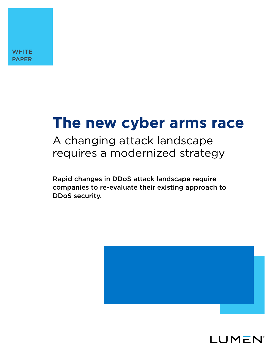# **The new cyber arms race**

A changing attack landscape requires a modernized strategy

Rapid changes in DDoS attack landscape require companies to re-evaluate their existing approach to DDoS security.



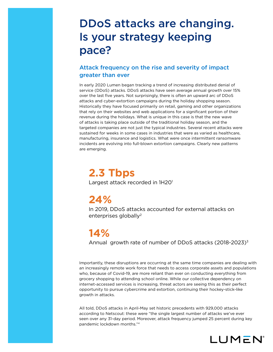## DDoS attacks are changing. Is your strategy keeping pace?

### Attack frequency on the rise and severity of impact greater than ever

In early 2020 Lumen began tracking a trend of increasing distributed denial of service (DDoS) attacks. DDoS attacks have seen average annual growth over 15% over the last five years. Not surprisingly, there is often an upward arc of DDoS attacks and cyber-extortion campaigns during the holiday shopping season. Historically they have focused primarily on retail, gaming and other organizations that rely on their websites and web applications for a significant portion of their revenue during the holidays. What is unique in this case is that the new wave of attacks is taking place outside of the traditional holiday season, and the targeted companies are not just the typical industries. Several recent attacks were sustained for weeks in some cases in industries that were as varied as healthcare, manufacturing, insurance and logistics. What were once intermittent ransomware incidents are evolving into full-blown extortion campaigns. Clearly new patterns are emerging.

## **2.3 Tbps**

Largest attack recorded in 1H20<sup>1</sup>

## **24%**

In 2019, DDoS attacks accounted for external attacks on enterprises globally<sup>2</sup>

## **14%**

Annual growth rate of number of DDoS attacks (2018-2023)3

Importantly, these disruptions are occurring at the same time companies are dealing with an increasingly remote work force that needs to access corporate assets and populations who, because of Covid-19, are more reliant than ever on conducting everything from grocery shopping to attending school online. While our collective dependency on internet-accessed services is increasing, threat actors are seeing this as their perfect opportunity to pursue cybercrime and extortion, continuing their hockey-stick-like growth in attacks.

All told, DDoS attacks in April-May set historic precedents with 929,000 attacks according to Netscout: these were "the single largest number of attacks we've ever seen over any 31-day period. Moreover, attack frequency jumped 25 percent during key pandemic lockdown months."4

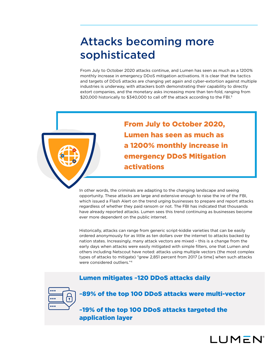## Attacks becoming more sophisticated

From July to October 2020 attacks continue, and Lumen has seen as much as a 1200% monthly increase in emergency DDoS mitigation activations. It is clear that the tactics and targets of DDoS attacks are changing yet again and cyber-extortion against multiple industries is underway, with attackers both demonstrating their capability to directly extort companies, and the monetary asks increasing more than ten-fold, ranging from \$20,000 historically to \$340,000 to call off the attack according to the FBI.5



From July to October 2020, Lumen has seen as much as a 1200% monthly increase in emergency DDoS Mitigation activations

In other words, the criminals are adapting to the changing landscape and seeing opportunity. These attacks are large and extensive enough to raise the ire of the FBI, which issued a Flash Alert on the trend urging businesses to prepare and report attacks regardless of whether they paid ransom or not. The FBI has indicated that thousands have already reported attacks. Lumen sees this trend continuing as businesses become ever more dependent on the public internet.

Historically, attacks can range from generic script-kiddie varieties that can be easily ordered anonymously for as little as ten dollars over the internet to attacks backed by nation states. Increasingly, many attack vectors are mixed – this is a change from the early days when attacks were easily mitigated with simple filters, one that Lumen and others including Netscout have noted: attacks using multiple vectors (the most complex types of attacks to mitigate) "grew 2,851 percent from 2017 [a time] when such attacks were considered outliers."4

### Lumen mitigates ~120 DDoS attacks daily



~89% of the top 100 DDoS attacks were multi-vector

~19% of the top 100 DDoS attacks targeted the application layer

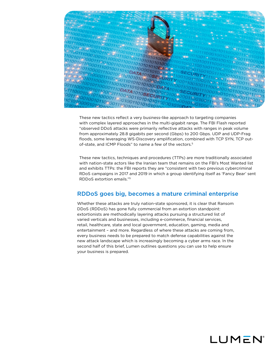

These new tactics reflect a very business-like approach to targeting companies with complex layered approaches in the multi-gigabit range. The FBI Flash reported "observed DDoS attacks were primarily reflective attacks with ranges in peak volume from approximately 28.8 gigabits per second (Gbps) to 200 Gbps. UDP and UDP-Frag floods, some leveraging WS-Discovery amplification, combined with TCP SYN, TCP outof-state, and ICMP Floods" to name a few of the vectors.<sup>5</sup>

These new tactics, techniques and procedures (TTPs) are more traditionally associated with nation-state actors like the Iranian team that remains on the FBI's Most Wanted list and exhibits TTPs: the FBI reports they are "consistent with two previous cybercriminal RDoS campaigns in 2017 and 2019 in which a group identifying itself as 'Fancy Bear' sent RDDoS extortion emails."5

#### RDDoS goes big, becomes a mature criminal enterprise

Whether these attacks are truly nation-state sponsored, it is clear that Ransom DDoS (RDDoS) has gone fully commercial from an extortion standpoint: extortionists are methodically layering attacks pursuing a structured list of varied verticals and businesses, including e-commerce, financial services, retail, healthcare, state and local government, education, gaming, media and entertainment – and more. Regardless of where these attacks are coming from, every business needs to be prepared to match defense capabilities against the new attack landscape which is increasingly becoming a cyber arms race. In the second half of this brief, Lumen outlines questions you can use to help ensure your business is prepared.

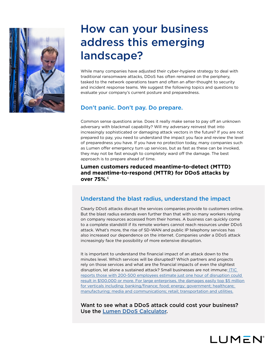

## How can your business address this emerging landscape?

While many companies have adjusted their cyber-hygiene strategy to deal with traditional ransomware attacks, DDoS has often remained on the periphery, tasked to the network operations team and often an after-thought to security and incident response teams. We suggest the following topics and questions to evaluate your company's current posture and preparedness.

### Don't panic. Don't pay. Do prepare.

Common sense questions arise. Does it really make sense to pay off an unknown adversary with blackmail capability? Will my adversary reinvest that into increasingly sophisticated or damaging attack vectors in the future? If you are not prepared to pay, you need to understand the impact you face and review the level of preparedness you have. If you have no protection today, many companies such as Lumen offer emergency turn up services, but as fast as these can be invoked, they may not be fast enough to completely ward off the damage. The best approach is to prepare ahead of time.

**Lumen customers reduced meantime-to-detect (MTTD) and meantime-to-respond (MTTR) for DDoS attacks by over 75%.**<sup>6</sup>

### Understand the blast radius, understand the impact

Clearly DDoS attacks disrupt the services companies provide to customers online. But the blast radius extends even further than that with so many workers relying on company resources accessed from their homes. A business can quickly come to a complete standstill if its remote workers cannot reach resources under DDoS attack. What's more, the rise of SD-WAN and public IP telephony services has also increased our dependence on the internet. Companies under a DDoS attack increasingly face the possibility of more extensive disruption.

It is important to understand the financial impact of an attack down to the minutes level. Which services will be disrupted? Which partners and projects rely on those services and what are the financial impacts of even the slightest disruption, let alone a sustained attack? Small businesses are not immune: [ITIC](https://itic-corp.com/blog/2020/06/forty-percent-of-enterprises-say-hourly-downtime-costs-top-1million/)  [reports those with 200-500 employees estimate just one hour of disruption could](https://itic-corp.com/blog/2020/06/forty-percent-of-enterprises-say-hourly-downtime-costs-top-1million/)  [result in \\$100,000 or more. For large enterprises, the damages easily top \\$5 million](https://itic-corp.com/blog/2020/06/forty-percent-of-enterprises-say-hourly-downtime-costs-top-1million/)  [for verticals including: banking/finance; food; energy; government; healthcare;](https://itic-corp.com/blog/2020/06/forty-percent-of-enterprises-say-hourly-downtime-costs-top-1million/)  [manufacturing; media and communications; retail; transportation and utilities.](https://itic-corp.com/blog/2020/06/forty-percent-of-enterprises-say-hourly-downtime-costs-top-1million/)

Want to see what a DDoS attack could cost your business? Use the [Lumen DDoS Calculator](https://www.lumen.com/en-us/resources/calculator/ddos-calculator.html).

LUMEN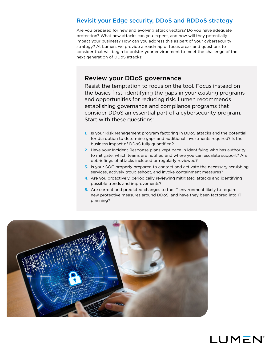#### Revisit your Edge security, DDoS and RDDoS strategy

Are you prepared for new and evolving attack vectors? Do you have adequate protection? What new attacks can you expect, and how will they potentially impact your business? How can you address this as part of your cybersecurity strategy? At Lumen, we provide a roadmap of focus areas and questions to consider that will begin to bolster your environment to meet the challenge of the next generation of DDoS attacks:

#### Review your DDoS governance

Resist the temptation to focus on the tool. Focus instead on the basics first, identifying the gaps in your existing programs and opportunities for reducing risk. Lumen recommends establishing governance and compliance programs that consider DDoS an essential part of a cybersecurity program. Start with these questions:

- 1. Is your Risk Management program factoring in DDoS attacks and the potential for disruption to determine gaps and additional investments required? Is the business impact of DDoS fully quantified?
- 2. Have your Incident Response plans kept pace in identifying who has authority to mitigate, which teams are notified and where you can escalate support? Are debriefings of attacks included or regularly reviewed?
- 3. Is your SOC properly prepared to contact and activate the necessary scrubbing services, actively troubleshoot, and invoke containment measures?
- 4. Are you proactively, periodically reviewing mitigated attacks and identifying possible trends and improvements?
- 5. Are current and predicted changes to the IT environment likely to require new protective measures around DDoS, and have they been factored into IT planning?



## LUMEN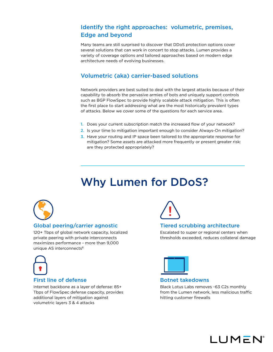### Identify the right approaches: volumetric, premises, Edge and beyond

Many teams are still surprised to discover that DDoS protection options cover several solutions that can work in concert to stop attacks. Lumen provides a variety of coverage options and tailored approaches based on modern edge architecture needs of evolving businesses.

### Volumetric (aka) carrier-based solutions

Network providers are best suited to deal with the largest attacks because of their capability to absorb the pervasive armies of bots and uniquely support controls such as BGP FlowSpec to provide highly scalable attack mitigation. This is often the first place to start addressing what are the most historically prevalent types of attacks. Below we cover some of the questions for each service area.

- 1. Does your current subscription match the increased flow of your network?
- 2. Is your time to mitigation important enough to consider Always-On mitigation?
- 3. Have your routing and IP space been tailored to the appropriate response for mitigation? Some assets are attacked more frequently or present greater risk: are they protected appropriately?

## Why Lumen for DDoS?



#### Global peering/carrier agnostic

120+ Tbps of global network capacity, localized private peering with private interconnects maximizes performance - more than 9,000 unique AS interconnects<sup>8</sup>



#### First line of defense

Internet backbone as a layer of defense: 85+ Tbps of FlowSpec defense capacity, provides additional layers of mitigation against volumetric layers 3 & 4 attacks



#### Tiered scrubbing architecture

Escalated to super or regional centers when thresholds exceeded, reduces collateral damage



#### Botnet takedowns

Black Lotus Labs removes ~63 C2s monthly from the Lumen network, less malicious traffic hitting customer firewalls

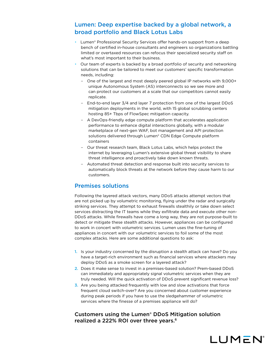### Lumen: Deep expertise backed by a global network, a broad portfolio and Black Lotus Labs

- Lumen® Professional Security Services offer hands-on support from a deep bench of certified in-house consultants and engineers so organizations battling limited or overtaxed resources can refocus their specialized security staff on what's most important to their business.
- Our team of experts is backed by a broad portfolio of security and networking solutions that can be tailored to meet our customers' specific transformation needs, including:
	- One of the largest and most deeply peered global IP networks with 9,000+ unique Autonomous System (AS) interconnects so we see more and can protect our customers at a scale that our competitors cannot easily replicate.
	- End-to-end layer 3/4 and layer 7 protection from one of the largest DDoS mitigation deployments in the world, with 15 global scrubbing centers hosting 85+ Tbps of FlowSpec mitigation capacity.
	- A DevOps-friendly edge compute platform that accelerates application performance to enhance digital interactions globally, with a modular marketplace of next-gen WAF, bot management and API protection solutions delivered through Lumen® CDN Edge Compute platform containers
	- Our threat research team, Black Lotus Labs, which helps protect the internet by leveraging Lumen's extensive global threat visibility to share threat intelligence and proactively take down known threats.
	- Automated threat detection and response built into security services to automatically block threats at the network before they cause harm to our customers.

#### Premises solutions

Following the layered attack vectors, many DDoS attacks attempt vectors that are not picked up by volumetric monitoring, flying under the radar and surgically striking services. They attempt to exhaust firewalls stealthily or take down select services distracting the IT teams while they exfiltrate data and execute other non-DDoS attacks. While firewalls have come a long way, they are not purpose-built to detect or mitigate these stealth attacks. However, appliances can be configured to work in concert with volumetric services. Lumen uses the fine-tuning of appliances in concert with our volumetric services to foil some of the most complex attacks. Here are some additional questions to ask:

- 1. Is your industry concerned by the disruption a stealth attack can have? Do you have a target-rich environment such as financial services where attackers may deploy DDoS as a smoke screen for a layered attack?
- 2. Does it make sense to invest in a premises-based solution? Prem-based DDoS can immediately and appropriately signal volumetric services when they are truly needed. Will the quick activation of DDoS prevent significant revenue loss?
- 3. Are you being attacked frequently with low and slow activations that force frequent cloud switch-over? Are you concerned about customer experience during peak periods if you have to use the sledgehammer of volumetric services where the finesse of a premises appliance will do?

#### Customers using the Lumen® DDoS Mitigation solution realized a 222% ROI over three years.6